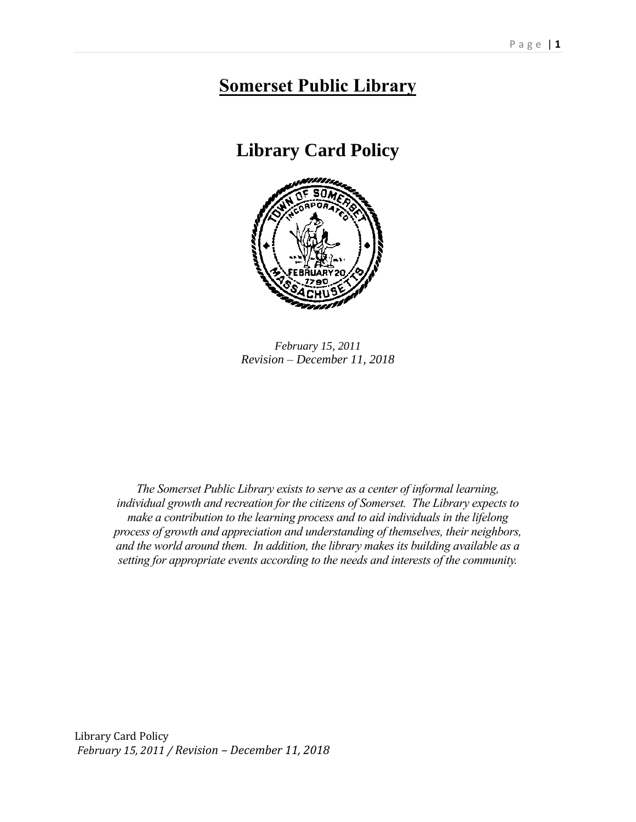# **Somerset Public Library**

**Library Card Policy**



*February 15, 2011 Revision – December 11, 2018*

*The Somerset Public Library exists to serve as a center of informal learning, individual growth and recreation for the citizens of Somerset. The Library expects to make a contribution to the learning process and to aid individuals in the lifelong process of growth and appreciation and understanding of themselves, their neighbors, and the world around them. In addition, the library makes its building available as a setting for appropriate events according to the needs and interests of the community.*

Library Card Policy *February 15, 2011 / Revision – December 11, 2018*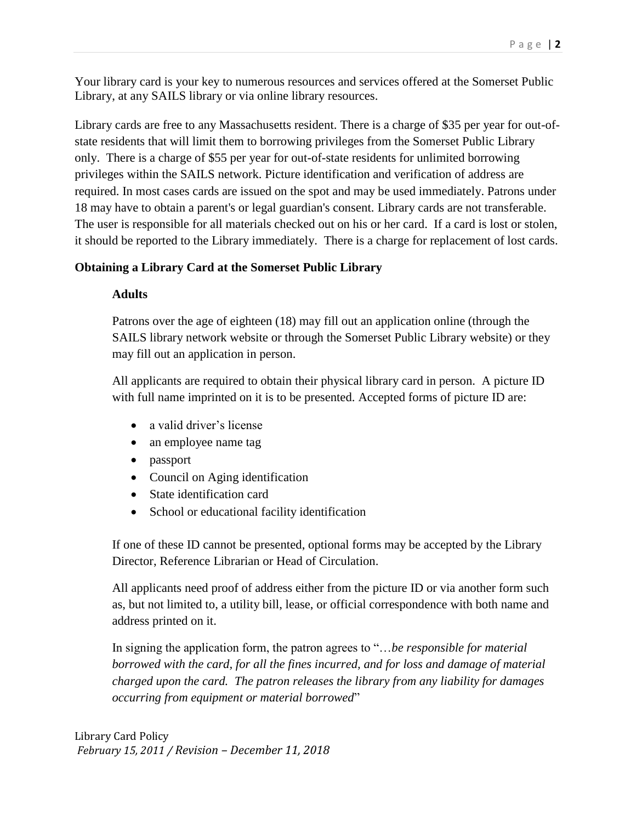Your library card is your key to numerous resources and services offered at the Somerset Public Library, at any SAILS library or via online library resources.

Library cards are free to any Massachusetts resident. There is a charge of \$35 per year for out-ofstate residents that will limit them to borrowing privileges from the Somerset Public Library only. There is a charge of \$55 per year for out-of-state residents for unlimited borrowing privileges within the SAILS network. Picture identification and verification of address are required. In most cases cards are issued on the spot and may be used immediately. Patrons under 18 may have to obtain a parent's or legal guardian's consent. Library cards are not transferable. The user is responsible for all materials checked out on his or her card. If a card is lost or stolen, it should be reported to the Library immediately. There is a charge for replacement of lost cards.

# **Obtaining a Library Card at the Somerset Public Library**

# **Adults**

Patrons over the age of eighteen (18) may fill out an application online (through the SAILS library network website or through the Somerset Public Library website) or they may fill out an application in person.

All applicants are required to obtain their physical library card in person. A picture ID with full name imprinted on it is to be presented. Accepted forms of picture ID are:

- a valid driver's license
- an employee name tag
- passport
- Council on Aging identification
- State identification card
- School or educational facility identification

If one of these ID cannot be presented, optional forms may be accepted by the Library Director, Reference Librarian or Head of Circulation.

All applicants need proof of address either from the picture ID or via another form such as, but not limited to, a utility bill, lease, or official correspondence with both name and address printed on it.

In signing the application form, the patron agrees to "…*be responsible for material borrowed with the card, for all the fines incurred, and for loss and damage of material charged upon the card. The patron releases the library from any liability for damages occurring from equipment or material borrowed*"

Library Card Policy *February 15, 2011 / Revision – December 11, 2018*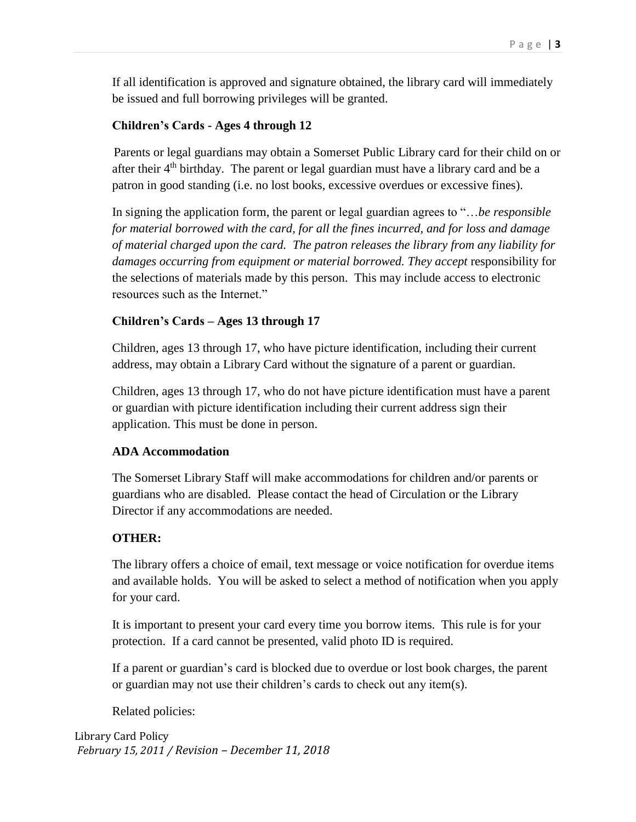If all identification is approved and signature obtained, the library card will immediately be issued and full borrowing privileges will be granted.

## **Children's Cards - Ages 4 through 12**

Parents or legal guardians may obtain a Somerset Public Library card for their child on or after their  $4<sup>th</sup>$  birthday. The parent or legal guardian must have a library card and be a patron in good standing (i.e. no lost books, excessive overdues or excessive fines).

In signing the application form, the parent or legal guardian agrees to "…*be responsible for material borrowed with the card, for all the fines incurred, and for loss and damage of material charged upon the card. The patron releases the library from any liability for damages occurring from equipment or material borrowed. They accept* responsibility for the selections of materials made by this person. This may include access to electronic resources such as the Internet."

# **Children's Cards – Ages 13 through 17**

Children, ages 13 through 17, who have picture identification, including their current address, may obtain a Library Card without the signature of a parent or guardian.

Children, ages 13 through 17, who do not have picture identification must have a parent or guardian with picture identification including their current address sign their application. This must be done in person.

### **ADA Accommodation**

The Somerset Library Staff will make accommodations for children and/or parents or guardians who are disabled. Please contact the head of Circulation or the Library Director if any accommodations are needed.

### **OTHER:**

The library offers a choice of email, text message or voice notification for overdue items and available holds. You will be asked to select a method of notification when you apply for your card.

It is important to present your card every time you borrow items. This rule is for your protection. If a card cannot be presented, valid photo ID is required.

If a parent or guardian's card is blocked due to overdue or lost book charges, the parent or guardian may not use their children's cards to check out any item(s).

Related policies:

Library Card Policy *February 15, 2011 / Revision – December 11, 2018*